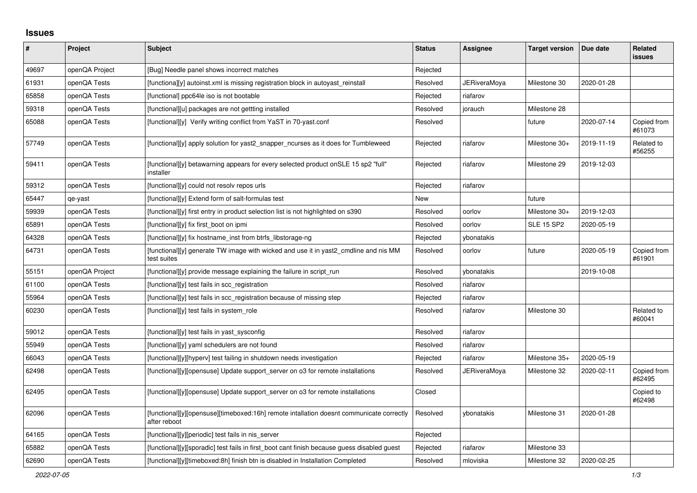## **Issues**

| #     | Project        | Subject                                                                                                  | <b>Status</b> | Assignee     | <b>Target version</b> | Due date   | Related<br><b>issues</b> |
|-------|----------------|----------------------------------------------------------------------------------------------------------|---------------|--------------|-----------------------|------------|--------------------------|
| 49697 | openQA Project | [Bug] Needle panel shows incorrect matches                                                               | Rejected      |              |                       |            |                          |
| 61931 | openQA Tests   | [functiona][y] autoinst.xml is missing registration block in autoyast reinstall                          | Resolved      | JERiveraMoya | Milestone 30          | 2020-01-28 |                          |
| 65858 | openQA Tests   | [functional] ppc64le iso is not bootable                                                                 | Rejected      | riafarov     |                       |            |                          |
| 59318 | openQA Tests   | [functional][u] packages are not gettting installed                                                      | Resolved      | jorauch      | Milestone 28          |            |                          |
| 65088 | openQA Tests   | [functional][y] Verify writing conflict from YaST in 70-yast.conf                                        | Resolved      |              | future                | 2020-07-14 | Copied from<br>#61073    |
| 57749 | openQA Tests   | [functional][y] apply solution for yast2 snapper ncurses as it does for Tumbleweed                       | Rejected      | riafarov     | Milestone 30+         | 2019-11-19 | Related to<br>#56255     |
| 59411 | openQA Tests   | [functional][y] betawarning appears for every selected product on SLE 15 sp2 "full"<br>installer         | Rejected      | riafarov     | Milestone 29          | 2019-12-03 |                          |
| 59312 | openQA Tests   | [functional][y] could not resolv repos urls                                                              | Rejected      | riafarov     |                       |            |                          |
| 65447 | qe-yast        | [functional][y] Extend form of salt-formulas test                                                        | New           |              | future                |            |                          |
| 59939 | openQA Tests   | [functional][y] first entry in product selection list is not highlighted on s390                         | Resolved      | oorlov       | Milestone 30+         | 2019-12-03 |                          |
| 65891 | openQA Tests   | [functional][y] fix first boot on ipmi                                                                   | Resolved      | oorlov       | <b>SLE 15 SP2</b>     | 2020-05-19 |                          |
| 64328 | openQA Tests   | [functional][y] fix hostname inst from btrfs libstorage-ng                                               | Rejected      | ybonatakis   |                       |            |                          |
| 64731 | openQA Tests   | [functional][y] generate TW image with wicked and use it in yast2 cmdline and nis MM<br>test suites      | Resolved      | oorlov       | future                | 2020-05-19 | Copied from<br>#61901    |
| 55151 | openQA Project | [functional][y] provide message explaining the failure in script run                                     | Resolved      | ybonatakis   |                       | 2019-10-08 |                          |
| 61100 | openQA Tests   | [functional][y] test fails in scc registration                                                           | Resolved      | riafarov     |                       |            |                          |
| 55964 | openQA Tests   | [functional][y] test fails in scc registration because of missing step                                   | Rejected      | riafarov     |                       |            |                          |
| 60230 | openQA Tests   | [functional][y] test fails in system role                                                                | Resolved      | riafarov     | Milestone 30          |            | Related to<br>#60041     |
| 59012 | openQA Tests   | [functional][y] test fails in yast sysconfig                                                             | Resolved      | riafarov     |                       |            |                          |
| 55949 | openQA Tests   | [functional][y] yaml schedulers are not found                                                            | Resolved      | riafarov     |                       |            |                          |
| 66043 | openQA Tests   | [functional][y][hyperv] test failing in shutdown needs investigation                                     | Rejected      | riafarov     | Milestone 35+         | 2020-05-19 |                          |
| 62498 | openQA Tests   | [functional][y][opensuse] Update support server on 03 for remote installations                           | Resolved      | JERiveraMoya | Milestone 32          | 2020-02-11 | Copied from<br>#62495    |
| 62495 | openQA Tests   | [functional][y][opensuse] Update support server on o3 for remote installations                           | Closed        |              |                       |            | Copied to<br>#62498      |
| 62096 | openQA Tests   | [functional][y][opensuse][timeboxed:16h] remote intallation doesnt communicate correctly<br>after reboot | Resolved      | ybonatakis   | Milestone 31          | 2020-01-28 |                          |
| 64165 | openQA Tests   | [functional][y][periodic] test fails in nis_server                                                       | Rejected      |              |                       |            |                          |
| 65882 | openQA Tests   | [functional][y][sporadic] test fails in first boot cant finish because guess disabled guest              | Rejected      | riafarov     | Milestone 33          |            |                          |
| 62690 | openQA Tests   | [functional][y][timeboxed:8h] finish btn is disabled in Installation Completed                           | Resolved      | mloviska     | Milestone 32          | 2020-02-25 |                          |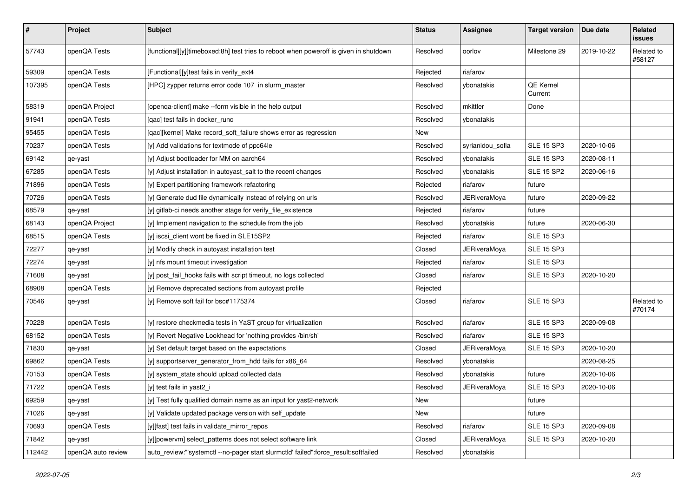| $\pmb{\#}$ | Project            | Subject                                                                               | <b>Status</b> | Assignee            | <b>Target version</b> | Due date   | Related<br>issues    |
|------------|--------------------|---------------------------------------------------------------------------------------|---------------|---------------------|-----------------------|------------|----------------------|
| 57743      | openQA Tests       | [functional][y][timeboxed:8h] test tries to reboot when poweroff is given in shutdown | Resolved      | oorlov              | Milestone 29          | 2019-10-22 | Related to<br>#58127 |
| 59309      | openQA Tests       | [Functional][y]test fails in verify_ext4                                              | Rejected      | riafarov            |                       |            |                      |
| 107395     | openQA Tests       | [HPC] zypper returns error code 107 in slurm_master                                   | Resolved      | ybonatakis          | QE Kernel<br>Current  |            |                      |
| 58319      | openQA Project     | [openqa-client] make --form visible in the help output                                | Resolved      | mkittler            | Done                  |            |                      |
| 91941      | openQA Tests       | [qac] test fails in docker_runc                                                       | Resolved      | ybonatakis          |                       |            |                      |
| 95455      | openQA Tests       | [qac][kernel] Make record_soft_failure shows error as regression                      | New           |                     |                       |            |                      |
| 70237      | openQA Tests       | [y] Add validations for textmode of ppc64le                                           | Resolved      | syrianidou_sofia    | <b>SLE 15 SP3</b>     | 2020-10-06 |                      |
| 69142      | qe-yast            | [y] Adjust bootloader for MM on aarch64                                               | Resolved      | ybonatakis          | <b>SLE 15 SP3</b>     | 2020-08-11 |                      |
| 67285      | openQA Tests       | [y] Adjust installation in autoyast_salt to the recent changes                        | Resolved      | ybonatakis          | <b>SLE 15 SP2</b>     | 2020-06-16 |                      |
| 71896      | openQA Tests       | [y] Expert partitioning framework refactoring                                         | Rejected      | riafarov            | future                |            |                      |
| 70726      | openQA Tests       | [y] Generate dud file dynamically instead of relying on urls                          | Resolved      | <b>JERiveraMoya</b> | future                | 2020-09-22 |                      |
| 68579      | qe-yast            | [y] gitlab-ci needs another stage for verify_file_existence                           | Rejected      | riafarov            | future                |            |                      |
| 68143      | openQA Project     | [y] Implement navigation to the schedule from the job                                 | Resolved      | ybonatakis          | future                | 2020-06-30 |                      |
| 68515      | openQA Tests       | [y] iscsi_client wont be fixed in SLE15SP2                                            | Rejected      | riafarov            | <b>SLE 15 SP3</b>     |            |                      |
| 72277      | qe-yast            | [y] Modify check in autoyast installation test                                        | Closed        | <b>JERiveraMoya</b> | <b>SLE 15 SP3</b>     |            |                      |
| 72274      | qe-yast            | [y] nfs mount timeout investigation                                                   | Rejected      | riafarov            | <b>SLE 15 SP3</b>     |            |                      |
| 71608      | qe-yast            | [y] post_fail_hooks fails with script timeout, no logs collected                      | Closed        | riafarov            | <b>SLE 15 SP3</b>     | 2020-10-20 |                      |
| 68908      | openQA Tests       | [y] Remove deprecated sections from autoyast profile                                  | Rejected      |                     |                       |            |                      |
| 70546      | qe-yast            | [y] Remove soft fail for bsc#1175374                                                  | Closed        | riafarov            | <b>SLE 15 SP3</b>     |            | Related to<br>#70174 |
| 70228      | openQA Tests       | [y] restore checkmedia tests in YaST group for virtualization                         | Resolved      | riafarov            | <b>SLE 15 SP3</b>     | 2020-09-08 |                      |
| 68152      | openQA Tests       | [y] Revert Negative Lookhead for 'nothing provides /bin/sh'                           | Resolved      | riafarov            | <b>SLE 15 SP3</b>     |            |                      |
| 71830      | qe-yast            | [y] Set default target based on the expectations                                      | Closed        | JERiveraMoya        | <b>SLE 15 SP3</b>     | 2020-10-20 |                      |
| 69862      | openQA Tests       | [y] supportserver_generator_from_hdd fails for x86_64                                 | Resolved      | ybonatakis          |                       | 2020-08-25 |                      |
| 70153      | openQA Tests       | [y] system_state should upload collected data                                         | Resolved      | ybonatakis          | future                | 2020-10-06 |                      |
| 71722      | openQA Tests       | [y] test fails in yast2_i                                                             | Resolved      | JERiveraMoya        | <b>SLE 15 SP3</b>     | 2020-10-06 |                      |
| 69259      | qe-yast            | [y] Test fully qualified domain name as an input for yast2-network                    | New           |                     | future                |            |                      |
| 71026      | qe-yast            | [y] Validate updated package version with self update                                 | New           |                     | future                |            |                      |
| 70693      | openQA Tests       | [y][fast] test fails in validate_mirror_repos                                         | Resolved      | riafarov            | <b>SLE 15 SP3</b>     | 2020-09-08 |                      |
| 71842      | qe-yast            | [y][powervm] select patterns does not select software link                            | Closed        | JERiveraMoya        | SLE 15 SP3            | 2020-10-20 |                      |
| 112442     | openQA auto review | auto_review:"'systemctl --no-pager start slurmctld' failed":force_result:softfailed   | Resolved      | ybonatakis          |                       |            |                      |